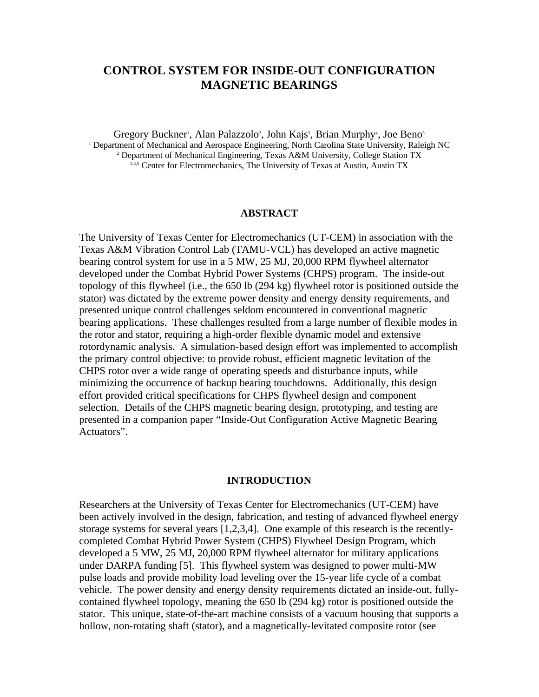# **CONTROL SYSTEM FOR INSIDE-OUT CONFIGURATION MAGNETIC BEARINGS**

Gregory Buckner<sup>1</sup>, Alan Palazzolo<sup>2</sup>, John Kajs<sup>3</sup>, Brian Murphy<sup>4</sup>, Joe Beno<sup>5</sup> <sup>1</sup> Department of Mechanical and Aerospace Engineering, North Carolina State University, Raleigh NC 2 Department of Mechanical Engineering, Texas A&M University, College Station TX 3,4,5 Center for Electromechanics, The University of Texas at Austin, Austin TX

### **ABSTRACT**

The University of Texas Center for Electromechanics (UT-CEM) in association with the Texas A&M Vibration Control Lab (TAMU-VCL) has developed an active magnetic bearing control system for use in a 5 MW, 25 MJ, 20,000 RPM flywheel alternator developed under the Combat Hybrid Power Systems (CHPS) program. The inside-out topology of this flywheel (i.e., the 650 lb (294 kg) flywheel rotor is positioned outside the stator) was dictated by the extreme power density and energy density requirements, and presented unique control challenges seldom encountered in conventional magnetic bearing applications. These challenges resulted from a large number of flexible modes in the rotor and stator, requiring a high-order flexible dynamic model and extensive rotordynamic analysis. A simulation-based design effort was implemented to accomplish the primary control objective: to provide robust, efficient magnetic levitation of the CHPS rotor over a wide range of operating speeds and disturbance inputs, while minimizing the occurrence of backup bearing touchdowns. Additionally, this design effort provided critical specifications for CHPS flywheel design and component selection. Details of the CHPS magnetic bearing design, prototyping, and testing are presented in a companion paper "Inside-Out Configuration Active Magnetic Bearing Actuators".

## **INTRODUCTION**

Researchers at the University of Texas Center for Electromechanics (UT-CEM) have been actively involved in the design, fabrication, and testing of advanced flywheel energy storage systems for several years [1,2,3,4]. One example of this research is the recentlycompleted Combat Hybrid Power System (CHPS) Flywheel Design Program, which developed a 5 MW, 25 MJ, 20,000 RPM flywheel alternator for military applications under DARPA funding [5]. This flywheel system was designed to power multi-MW pulse loads and provide mobility load leveling over the 15-year life cycle of a combat vehicle. The power density and energy density requirements dictated an inside-out, fullycontained flywheel topology, meaning the 650 lb (294 kg) rotor is positioned outside the stator. This unique, state-of-the-art machine consists of a vacuum housing that supports a hollow, non-rotating shaft (stator), and a magnetically-levitated composite rotor (see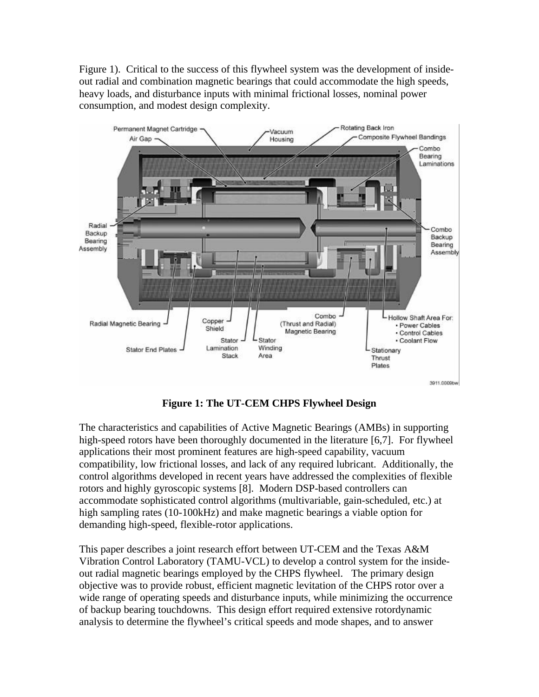Figure 1). Critical to the success of this flywheel system was the development of insideout radial and combination magnetic bearings that could accommodate the high speeds, heavy loads, and disturbance inputs with minimal frictional losses, nominal power consumption, and modest design complexity.



**Figure 1: The UT-CEM CHPS Flywheel Design**

The characteristics and capabilities of Active Magnetic Bearings (AMBs) in supporting high-speed rotors have been thoroughly documented in the literature [6,7]. For flywheel applications their most prominent features are high-speed capability, vacuum compatibility, low frictional losses, and lack of any required lubricant. Additionally, the control algorithms developed in recent years have addressed the complexities of flexible rotors and highly gyroscopic systems [8]. Modern DSP-based controllers can accommodate sophisticated control algorithms (multivariable, gain-scheduled, etc.) at high sampling rates (10-100kHz) and make magnetic bearings a viable option for demanding high-speed, flexible-rotor applications.

This paper describes a joint research effort between UT-CEM and the Texas A&M Vibration Control Laboratory (TAMU-VCL) to develop a control system for the insideout radial magnetic bearings employed by the CHPS flywheel. The primary design objective was to provide robust, efficient magnetic levitation of the CHPS rotor over a wide range of operating speeds and disturbance inputs, while minimizing the occurrence of backup bearing touchdowns. This design effort required extensive rotordynamic analysis to determine the flywheel's critical speeds and mode shapes, and to answer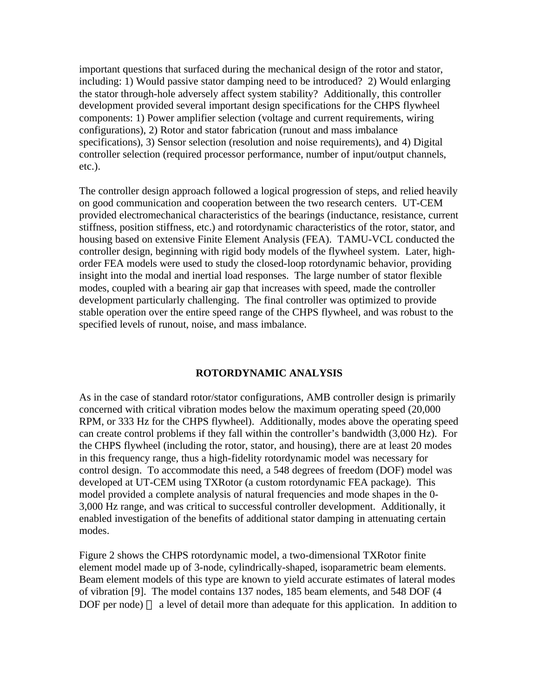important questions that surfaced during the mechanical design of the rotor and stator, including: 1) Would passive stator damping need to be introduced? 2) Would enlarging the stator through-hole adversely affect system stability? Additionally, this controller development provided several important design specifications for the CHPS flywheel components: 1) Power amplifier selection (voltage and current requirements, wiring configurations), 2) Rotor and stator fabrication (runout and mass imbalance specifications), 3) Sensor selection (resolution and noise requirements), and 4) Digital controller selection (required processor performance, number of input/output channels, etc.).

The controller design approach followed a logical progression of steps, and relied heavily on good communication and cooperation between the two research centers. UT-CEM provided electromechanical characteristics of the bearings (inductance, resistance, current stiffness, position stiffness, etc.) and rotordynamic characteristics of the rotor, stator, and housing based on extensive Finite Element Analysis (FEA). TAMU-VCL conducted the controller design, beginning with rigid body models of the flywheel system. Later, highorder FEA models were used to study the closed-loop rotordynamic behavior, providing insight into the modal and inertial load responses. The large number of stator flexible modes, coupled with a bearing air gap that increases with speed, made the controller development particularly challenging. The final controller was optimized to provide stable operation over the entire speed range of the CHPS flywheel, and was robust to the specified levels of runout, noise, and mass imbalance.

### **ROTORDYNAMIC ANALYSIS**

As in the case of standard rotor/stator configurations, AMB controller design is primarily concerned with critical vibration modes below the maximum operating speed (20,000 RPM, or 333 Hz for the CHPS flywheel). Additionally, modes above the operating speed can create control problems if they fall within the controller's bandwidth (3,000 Hz). For the CHPS flywheel (including the rotor, stator, and housing), there are at least 20 modes in this frequency range, thus a high-fidelity rotordynamic model was necessary for control design. To accommodate this need, a 548 degrees of freedom (DOF) model was developed at UT-CEM using TXRotor (a custom rotordynamic FEA package). This model provided a complete analysis of natural frequencies and mode shapes in the 0- 3,000 Hz range, and was critical to successful controller development. Additionally, it enabled investigation of the benefits of additional stator damping in attenuating certain modes.

Figure 2 shows the CHPS rotordynamic model, a two-dimensional TXRotor finite element model made up of 3-node, cylindrically-shaped, isoparametric beam elements. Beam element models of this type are known to yield accurate estimates of lateral modes of vibration [9]. The model contains 137 nodes, 185 beam elements, and 548 DOF (4  $DOF$  per node) — a level of detail more than adequate for this application. In addition to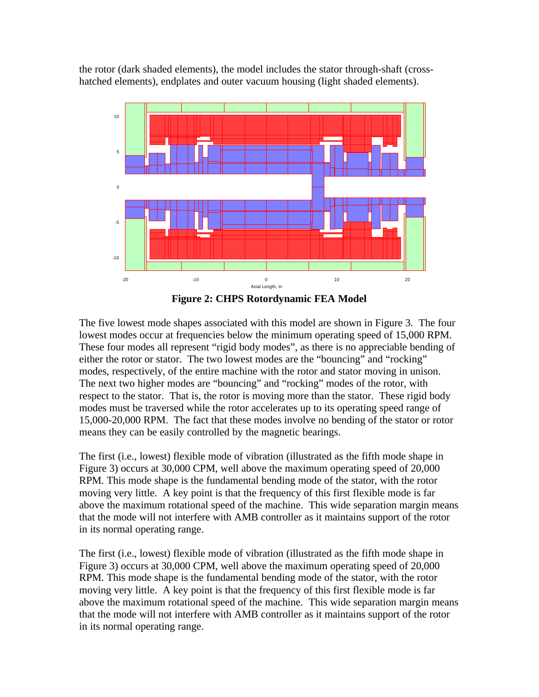the rotor (dark shaded elements), the model includes the stator through-shaft (crosshatched elements), endplates and outer vacuum housing (light shaded elements).





The five lowest mode shapes associated with this model are shown in Figure 3. The four lowest modes occur at frequencies below the minimum operating speed of 15,000 RPM. These four modes all represent "rigid body modes", as there is no appreciable bending of either the rotor or stator. The two lowest modes are the "bouncing" and "rocking" modes, respectively, of the entire machine with the rotor and stator moving in unison. The next two higher modes are "bouncing" and "rocking" modes of the rotor, with respect to the stator. That is, the rotor is moving more than the stator. These rigid body modes must be traversed while the rotor accelerates up to its operating speed range of 15,000-20,000 RPM. The fact that these modes involve no bending of the stator or rotor means they can be easily controlled by the magnetic bearings.

The first (i.e., lowest) flexible mode of vibration (illustrated as the fifth mode shape in Figure 3) occurs at 30,000 CPM, well above the maximum operating speed of 20,000 RPM. This mode shape is the fundamental bending mode of the stator, with the rotor moving very little. A key point is that the frequency of this first flexible mode is far above the maximum rotational speed of the machine. This wide separation margin means that the mode will not interfere with AMB controller as it maintains support of the rotor in its normal operating range.

The first (i.e., lowest) flexible mode of vibration (illustrated as the fifth mode shape in Figure 3) occurs at 30,000 CPM, well above the maximum operating speed of 20,000 RPM. This mode shape is the fundamental bending mode of the stator, with the rotor moving very little. A key point is that the frequency of this first flexible mode is far above the maximum rotational speed of the machine. This wide separation margin means that the mode will not interfere with AMB controller as it maintains support of the rotor in its normal operating range.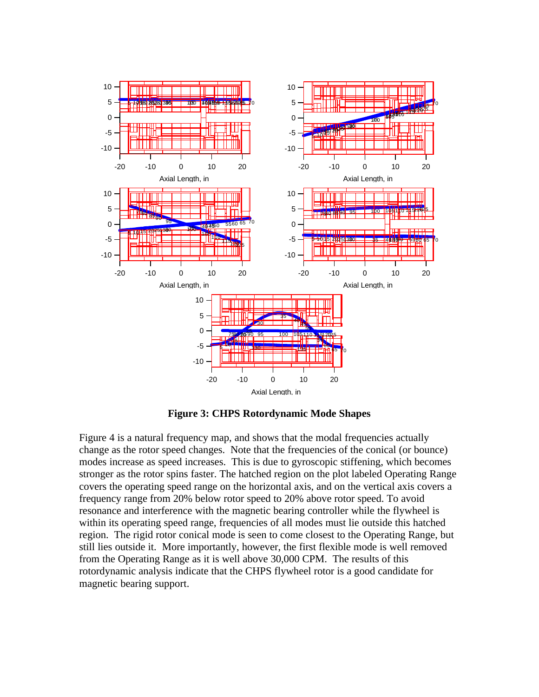

**Figure 3: CHPS Rotordynamic Mode Shapes**

Figure 4 is a natural frequency map, and shows that the modal frequencies actually change as the rotor speed changes. Note that the frequencies of the conical (or bounce) modes increase as speed increases. This is due to gyroscopic stiffening, which becomes stronger as the rotor spins faster. The hatched region on the plot labeled Operating Range covers the operating speed range on the horizontal axis, and on the vertical axis covers a frequency range from 20% below rotor speed to 20% above rotor speed. To avoid resonance and interference with the magnetic bearing controller while the flywheel is within its operating speed range, frequencies of all modes must lie outside this hatched region. The rigid rotor conical mode is seen to come closest to the Operating Range, but still lies outside it. More importantly, however, the first flexible mode is well removed from the Operating Range as it is well above 30,000 CPM. The results of this rotordynamic analysis indicate that the CHPS flywheel rotor is a good candidate for magnetic bearing support.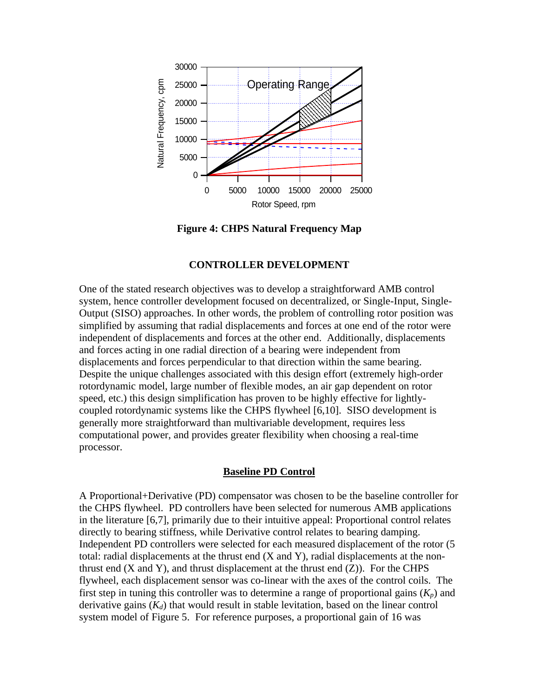

**Figure 4: CHPS Natural Frequency Map**

### **CONTROLLER DEVELOPMENT**

One of the stated research objectives was to develop a straightforward AMB control system, hence controller development focused on decentralized, or Single-Input, Single-Output (SISO) approaches. In other words, the problem of controlling rotor position was simplified by assuming that radial displacements and forces at one end of the rotor were independent of displacements and forces at the other end. Additionally, displacements and forces acting in one radial direction of a bearing were independent from displacements and forces perpendicular to that direction within the same bearing. Despite the unique challenges associated with this design effort (extremely high-order rotordynamic model, large number of flexible modes, an air gap dependent on rotor speed, etc.) this design simplification has proven to be highly effective for lightlycoupled rotordynamic systems like the CHPS flywheel [6,10]. SISO development is generally more straightforward than multivariable development, requires less computational power, and provides greater flexibility when choosing a real-time processor.

### **Baseline PD Control**

A Proportional+Derivative (PD) compensator was chosen to be the baseline controller for the CHPS flywheel. PD controllers have been selected for numerous AMB applications in the literature [6,7], primarily due to their intuitive appeal: Proportional control relates directly to bearing stiffness, while Derivative control relates to bearing damping. Independent PD controllers were selected for each measured displacement of the rotor (5 total: radial displacements at the thrust end (X and Y), radial displacements at the nonthrust end  $(X \text{ and } Y)$ , and thrust displacement at the thrust end  $(Z)$ ). For the CHPS flywheel, each displacement sensor was co-linear with the axes of the control coils. The first step in tuning this controller was to determine a range of proportional gains  $(K_p)$  and derivative gains  $(K_d)$  that would result in stable levitation, based on the linear control system model of Figure 5. For reference purposes, a proportional gain of 16 was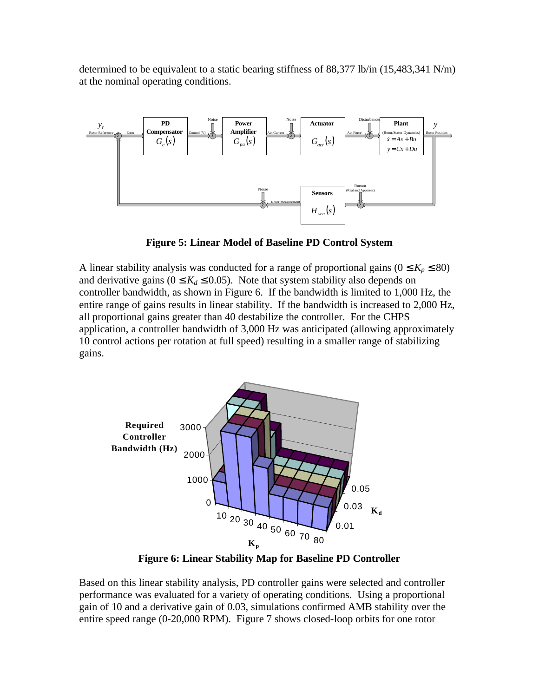determined to be equivalent to a static bearing stiffness of 88,377 lb/in (15,483,341 N/m) at the nominal operating conditions.



**Figure 5: Linear Model of Baseline PD Control System**

A linear stability analysis was conducted for a range of proportional gains ( $0 \le K_p \le 80$ ) and derivative gains ( $0 \leq K_d \leq 0.05$ ). Note that system stability also depends on controller bandwidth, as shown in Figure 6. If the bandwidth is limited to 1,000 Hz, the entire range of gains results in linear stability. If the bandwidth is increased to 2,000 Hz, all proportional gains greater than 40 destabilize the controller. For the CHPS application, a controller bandwidth of 3,000 Hz was anticipated (allowing approximately 10 control actions per rotation at full speed) resulting in a smaller range of stabilizing gains.



**Figure 6: Linear Stability Map for Baseline PD Controller**

Based on this linear stability analysis, PD controller gains were selected and controller performance was evaluated for a variety of operating conditions. Using a proportional gain of 10 and a derivative gain of 0.03, simulations confirmed AMB stability over the entire speed range (0-20,000 RPM). Figure 7 shows closed-loop orbits for one rotor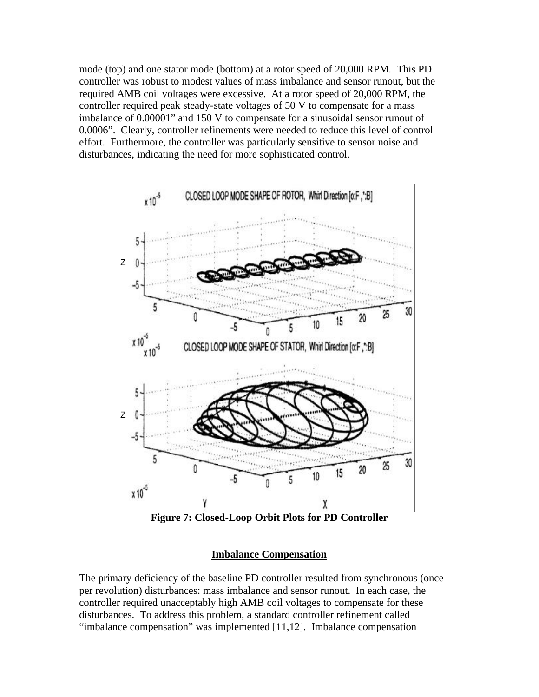mode (top) and one stator mode (bottom) at a rotor speed of 20,000 RPM. This PD controller was robust to modest values of mass imbalance and sensor runout, but the required AMB coil voltages were excessive. At a rotor speed of 20,000 RPM, the controller required peak steady-state voltages of 50 V to compensate for a mass imbalance of 0.00001" and 150 V to compensate for a sinusoidal sensor runout of 0.0006". Clearly, controller refinements were needed to reduce this level of control effort. Furthermore, the controller was particularly sensitive to sensor noise and disturbances, indicating the need for more sophisticated control.



**Figure 7: Closed-Loop Orbit Plots for PD Controller**

### **Imbalance Compensation**

The primary deficiency of the baseline PD controller resulted from synchronous (once per revolution) disturbances: mass imbalance and sensor runout. In each case, the controller required unacceptably high AMB coil voltages to compensate for these disturbances. To address this problem, a standard controller refinement called "imbalance compensation" was implemented [11,12]. Imbalance compensation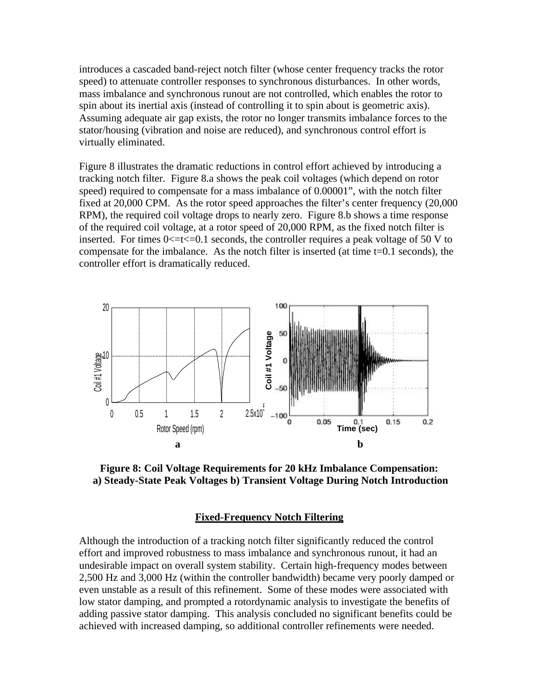introduces a cascaded band-reject notch filter (whose center frequency tracks the rotor speed) to attenuate controller responses to synchronous disturbances. In other words, mass imbalance and synchronous runout are not controlled, which enables the rotor to spin about its inertial axis (instead of controlling it to spin about is geometric axis). Assuming adequate air gap exists, the rotor no longer transmits imbalance forces to the stator/housing (vibration and noise are reduced), and synchronous control effort is virtually eliminated.

Figure 8 illustrates the dramatic reductions in control effort achieved by introducing a tracking notch filter. Figure 8.a shows the peak coil voltages (which depend on rotor speed) required to compensate for a mass imbalance of 0.00001", with the notch filter fixed at 20,000 CPM. As the rotor speed approaches the filter's center frequency (20,000 RPM), the required coil voltage drops to nearly zero. Figure 8.b shows a time response of the required coil voltage, at a rotor speed of 20,000 RPM, as the fixed notch filter is inserted. For times  $0 \le t \le 0.1$  seconds, the controller requires a peak voltage of 50 V to compensate for the imbalance. As the notch filter is inserted (at time t=0.1 seconds), the controller effort is dramatically reduced.



**Figure 8: Coil Voltage Requirements for 20 kHz Imbalance Compensation: a) Steady-State Peak Voltages b) Transient Voltage During Notch Introduction**

#### **Fixed-Frequency Notch Filtering**

Although the introduction of a tracking notch filter significantly reduced the control effort and improved robustness to mass imbalance and synchronous runout, it had an undesirable impact on overall system stability. Certain high-frequency modes between 2,500 Hz and 3,000 Hz (within the controller bandwidth) became very poorly damped or even unstable as a result of this refinement. Some of these modes were associated with low stator damping, and prompted a rotordynamic analysis to investigate the benefits of adding passive stator damping. This analysis concluded no significant benefits could be achieved with increased damping, so additional controller refinements were needed.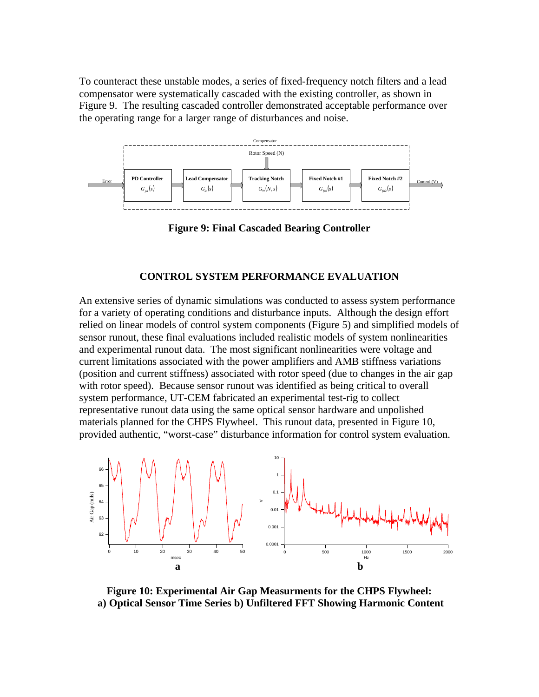To counteract these unstable modes, a series of fixed-frequency notch filters and a lead compensator were systematically cascaded with the existing controller, as shown in Figure 9. The resulting cascaded controller demonstrated acceptable performance over the operating range for a larger range of disturbances and noise.



**Figure 9: Final Cascaded Bearing Controller**

### **CONTROL SYSTEM PERFORMANCE EVALUATION**

An extensive series of dynamic simulations was conducted to assess system performance for a variety of operating conditions and disturbance inputs. Although the design effort relied on linear models of control system components (Figure 5) and simplified models of sensor runout, these final evaluations included realistic models of system nonlinearities and experimental runout data. The most significant nonlinearities were voltage and current limitations associated with the power amplifiers and AMB stiffness variations (position and current stiffness) associated with rotor speed (due to changes in the air gap with rotor speed). Because sensor runout was identified as being critical to overall system performance, UT-CEM fabricated an experimental test-rig to collect representative runout data using the same optical sensor hardware and unpolished materials planned for the CHPS Flywheel. This runout data, presented in Figure 10, provided authentic, "worst-case" disturbance information for control system evaluation.



**Figure 10: Experimental Air Gap Measurments for the CHPS Flywheel: a) Optical Sensor Time Series b) Unfiltered FFT Showing Harmonic Content**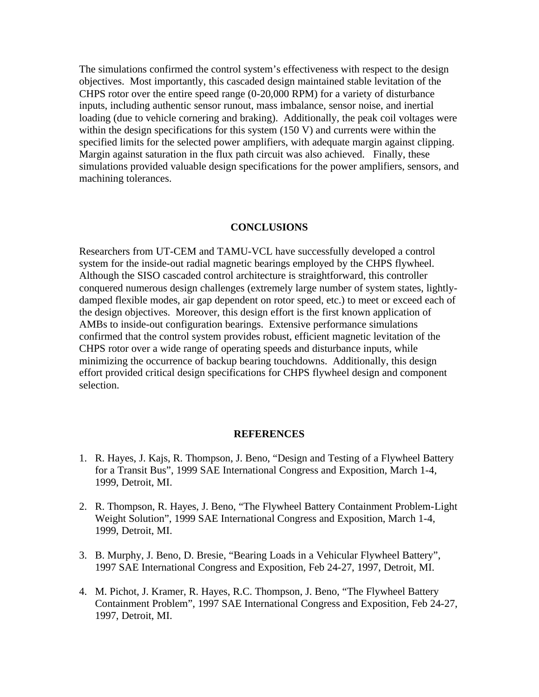The simulations confirmed the control system's effectiveness with respect to the design objectives. Most importantly, this cascaded design maintained stable levitation of the CHPS rotor over the entire speed range (0-20,000 RPM) for a variety of disturbance inputs, including authentic sensor runout, mass imbalance, sensor noise, and inertial loading (due to vehicle cornering and braking). Additionally, the peak coil voltages were within the design specifications for this system (150 V) and currents were within the specified limits for the selected power amplifiers, with adequate margin against clipping. Margin against saturation in the flux path circuit was also achieved. Finally, these simulations provided valuable design specifications for the power amplifiers, sensors, and machining tolerances.

#### **CONCLUSIONS**

Researchers from UT-CEM and TAMU-VCL have successfully developed a control system for the inside-out radial magnetic bearings employed by the CHPS flywheel. Although the SISO cascaded control architecture is straightforward, this controller conquered numerous design challenges (extremely large number of system states, lightlydamped flexible modes, air gap dependent on rotor speed, etc.) to meet or exceed each of the design objectives. Moreover, this design effort is the first known application of AMBs to inside-out configuration bearings. Extensive performance simulations confirmed that the control system provides robust, efficient magnetic levitation of the CHPS rotor over a wide range of operating speeds and disturbance inputs, while minimizing the occurrence of backup bearing touchdowns. Additionally, this design effort provided critical design specifications for CHPS flywheel design and component selection.

#### **REFERENCES**

- 1. R. Hayes, J. Kajs, R. Thompson, J. Beno, "Design and Testing of a Flywheel Battery for a Transit Bus", 1999 SAE International Congress and Exposition, March 1-4, 1999, Detroit, MI.
- 2. R. Thompson, R. Hayes, J. Beno, "The Flywheel Battery Containment Problem-Light Weight Solution", 1999 SAE International Congress and Exposition, March 1-4, 1999, Detroit, MI.
- 3. B. Murphy, J. Beno, D. Bresie, "Bearing Loads in a Vehicular Flywheel Battery", 1997 SAE International Congress and Exposition, Feb 24-27, 1997, Detroit, MI.
- 4. M. Pichot, J. Kramer, R. Hayes, R.C. Thompson, J. Beno, "The Flywheel Battery Containment Problem", 1997 SAE International Congress and Exposition, Feb 24-27, 1997, Detroit, MI.